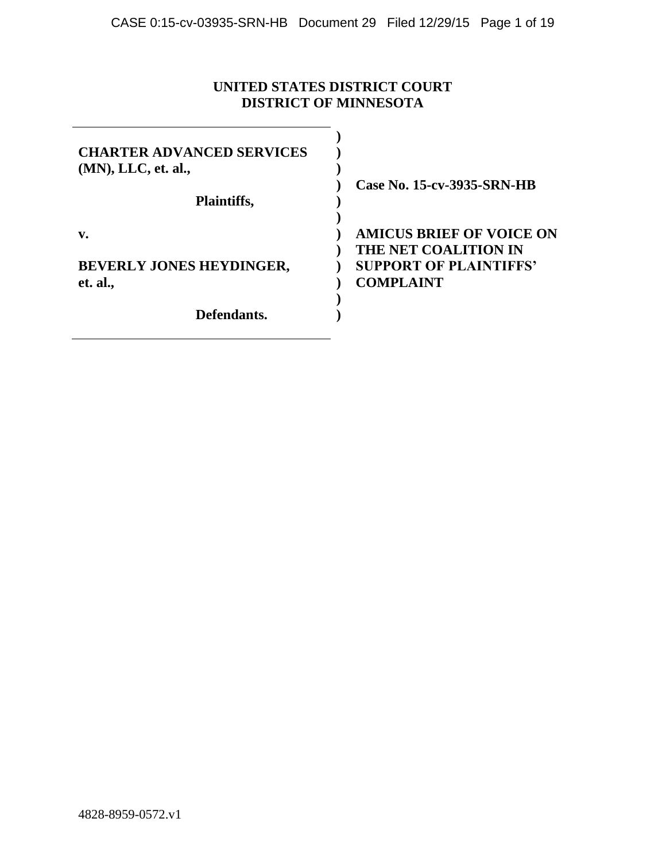## **UNITED STATES DISTRICT COURT DISTRICT OF MINNESOTA**

| <b>CHARTER ADVANCED SERVICES</b><br>$(MN)$ , LLC, et. al.,<br>Plaintiffs, | Case No. 15-cv-3935-SRN-HB                                                                                   |
|---------------------------------------------------------------------------|--------------------------------------------------------------------------------------------------------------|
| v.<br><b>BEVERLY JONES HEYDINGER,</b><br>et. al.,                         | <b>AMICUS BRIEF OF VOICE ON</b><br>THE NET COALITION IN<br><b>SUPPORT OF PLAINTIFFS'</b><br><b>COMPLAINT</b> |
| Defendants.                                                               |                                                                                                              |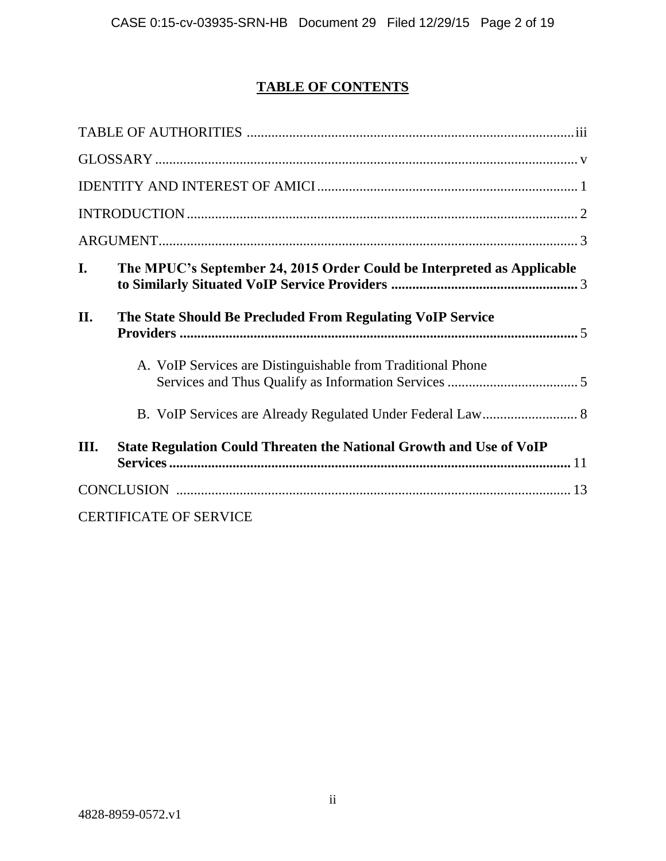## **TABLE OF CONTENTS**

| I.   | The MPUC's September 24, 2015 Order Could be Interpreted as Applicable |
|------|------------------------------------------------------------------------|
| II.  | The State Should Be Precluded From Regulating VoIP Service             |
|      | A. VoIP Services are Distinguishable from Traditional Phone            |
|      | B. VoIP Services are Already Regulated Under Federal Law 8             |
| III. | State Regulation Could Threaten the National Growth and Use of VoIP    |
|      |                                                                        |
|      | <b>CERTIFICATE OF SERVICE</b>                                          |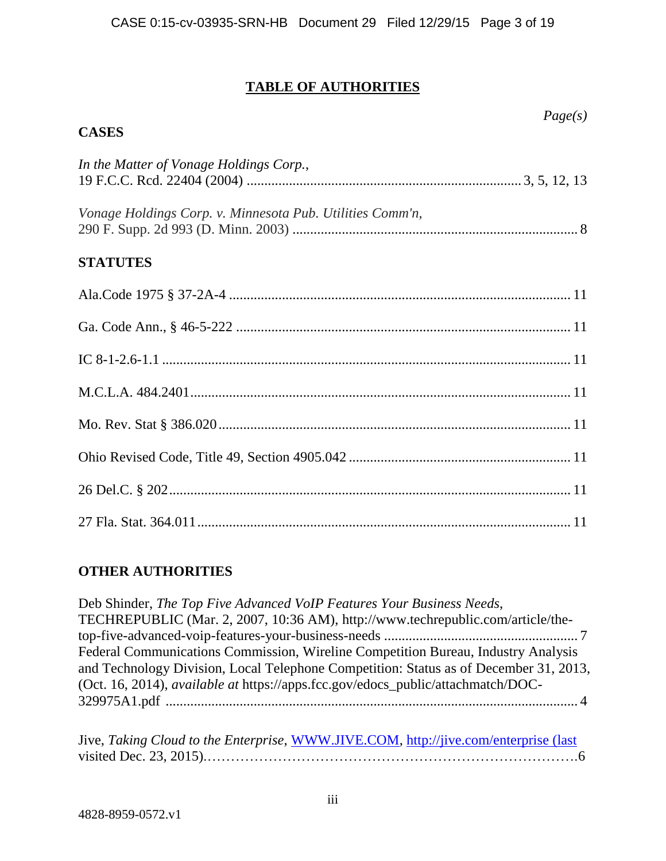## **TABLE OF AUTHORITIES**

*Page(s)*

## **CASES**

| In the Matter of Vonage Holdings Corp.,                   |
|-----------------------------------------------------------|
| Vonage Holdings Corp. v. Minnesota Pub. Utilities Comm'n, |
| <b>STATUTES</b>                                           |
|                                                           |
|                                                           |
|                                                           |
|                                                           |
|                                                           |
|                                                           |
|                                                           |
|                                                           |

## **OTHER AUTHORITIES**

Deb Shinder, *The Top Five Advanced VoIP Features Your Business Needs*, TECHREPUBLIC (Mar. 2, 2007, 10:36 AM), http://www.techrepublic.com/article/thetop-five-advanced-voip-features-your-business-needs ....................................................... 7 Federal Communications Commission, Wireline Competition Bureau, Industry Analysis and Technology Division, Local Telephone Competition: Status as of December 31, 2013, (Oct. 16, 2014), *available at* https://apps.fcc.gov/edocs\_public/attachmatch/DOC-329975A1.pdf ..................................................................................................................... 4

| Jive, Taking Cloud to the Enterprise, WWW.JIVE.COM, http://jive.com/enterprise (last |  |  |
|--------------------------------------------------------------------------------------|--|--|
|                                                                                      |  |  |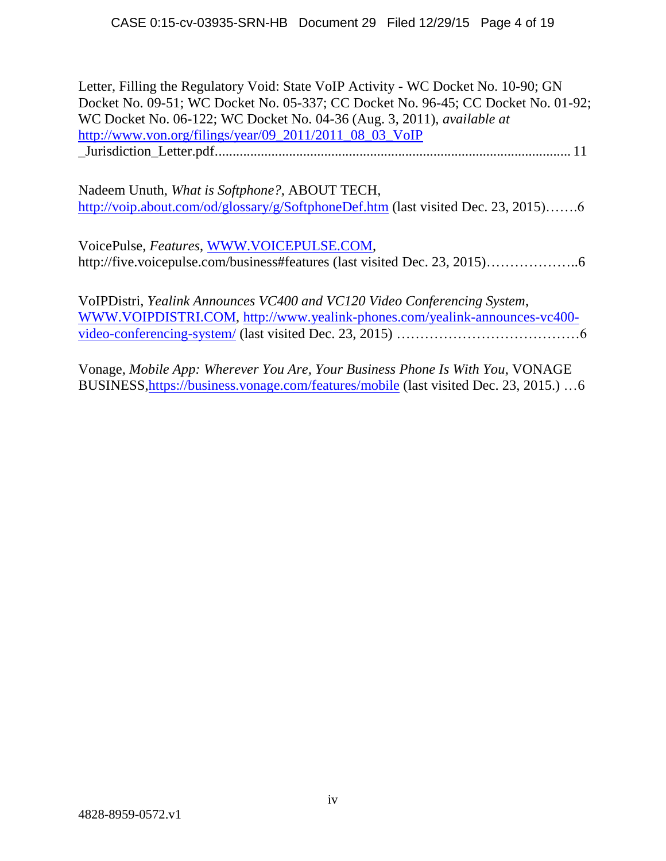| Letter, Filling the Regulatory Void: State VoIP Activity - WC Docket No. 10-90; GN<br>Docket No. 09-51; WC Docket No. 05-337; CC Docket No. 96-45; CC Docket No. 01-92;<br>WC Docket No. 06-122; WC Docket No. 04-36 (Aug. 3, 2011), available at<br>http://www.von.org/filings/year/09_2011/2011_08_03_VoIP |
|--------------------------------------------------------------------------------------------------------------------------------------------------------------------------------------------------------------------------------------------------------------------------------------------------------------|
| Nadeem Unuth, <i>What is Softphone?</i> , ABOUT TECH,<br>http://voip.about.com/od/glossary/g/SoftphoneDef.htm (last visited Dec. 23, 2015)6                                                                                                                                                                  |
| VoicePulse, Features, WWW.VOICEPULSE.COM,                                                                                                                                                                                                                                                                    |
| VoIPDistri, Yealink Announces VC400 and VC120 Video Conferencing System,<br>WWW.VOIPDISTRI.COM, http://www.yealink-phones.com/yealink-announces-vc400-                                                                                                                                                       |
| Vonage, Mobile App: Wherever You Are, Your Business Phone Is With You, VONAGE                                                                                                                                                                                                                                |

BUSINESS[,https://business.vonage.com/features/mobile](https://business.vonage.com/features/mobile) (last visited Dec. 23, 2015.) …6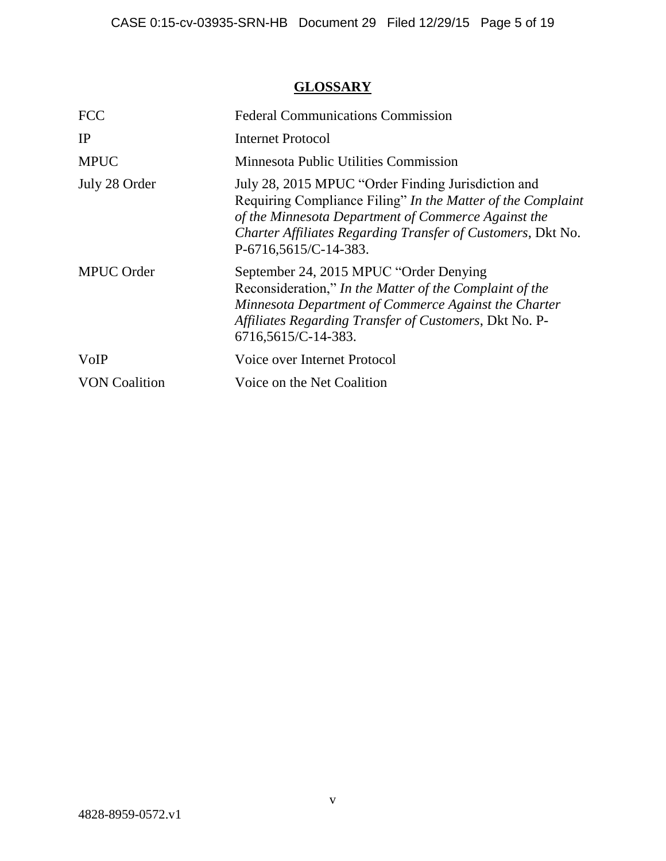## **GLOSSARY**

| <b>FCC</b>           | <b>Federal Communications Commission</b>                                                                                                                                                                                                                         |
|----------------------|------------------------------------------------------------------------------------------------------------------------------------------------------------------------------------------------------------------------------------------------------------------|
| IP                   | Internet Protocol                                                                                                                                                                                                                                                |
| <b>MPUC</b>          | Minnesota Public Utilities Commission                                                                                                                                                                                                                            |
| July 28 Order        | July 28, 2015 MPUC "Order Finding Jurisdiction and<br>Requiring Compliance Filing" In the Matter of the Complaint<br>of the Minnesota Department of Commerce Against the<br>Charter Affiliates Regarding Transfer of Customers, Dkt No.<br>P-6716,5615/C-14-383. |
| <b>MPUC</b> Order    | September 24, 2015 MPUC "Order Denying<br>Reconsideration," In the Matter of the Complaint of the<br>Minnesota Department of Commerce Against the Charter<br>Affiliates Regarding Transfer of Customers, Dkt No. P-<br>6716,5615/C-14-383.                       |
| VoIP                 | Voice over Internet Protocol                                                                                                                                                                                                                                     |
| <b>VON Coalition</b> | Voice on the Net Coalition                                                                                                                                                                                                                                       |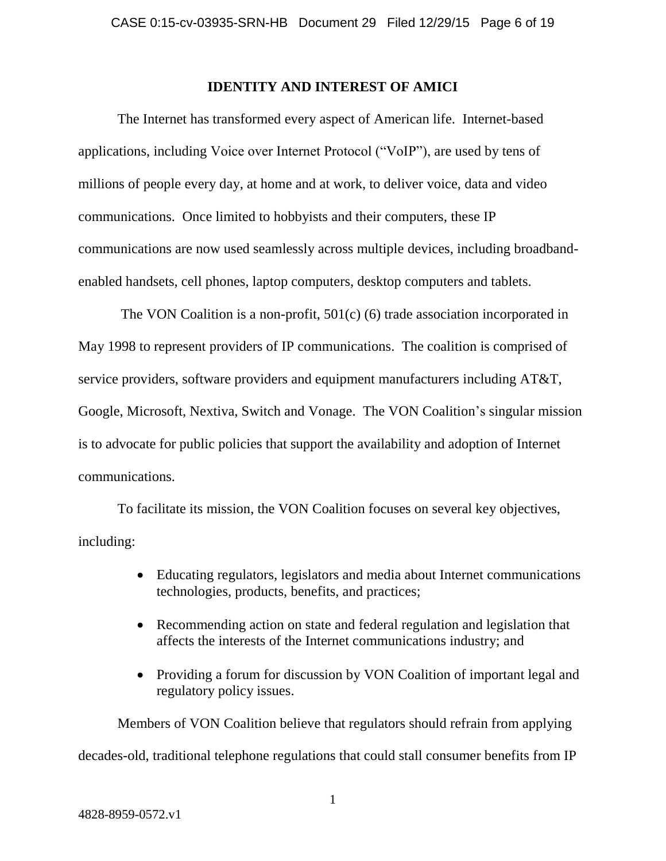#### **IDENTITY AND INTEREST OF AMICI**

The Internet has transformed every aspect of American life. Internet-based applications, including Voice over Internet Protocol ("VoIP"), are used by tens of millions of people every day, at home and at work, to deliver voice, data and video communications. Once limited to hobbyists and their computers, these IP communications are now used seamlessly across multiple devices, including broadbandenabled handsets, cell phones, laptop computers, desktop computers and tablets.

The VON Coalition is a non-profit, 501(c) (6) trade association incorporated in May 1998 to represent providers of IP communications. The coalition is comprised of service providers, software providers and equipment manufacturers including AT&T, Google, Microsoft, Nextiva, Switch and Vonage. The VON Coalition's singular mission is to advocate for public policies that support the availability and adoption of Internet communications.

To facilitate its mission, the VON Coalition focuses on several key objectives, including:

- Educating regulators, legislators and media about Internet communications technologies, products, benefits, and practices;
- Recommending action on state and federal regulation and legislation that affects the interests of the Internet communications industry; and
- Providing a forum for discussion by VON Coalition of important legal and regulatory policy issues.

Members of VON Coalition believe that regulators should refrain from applying

decades-old, traditional telephone regulations that could stall consumer benefits from IP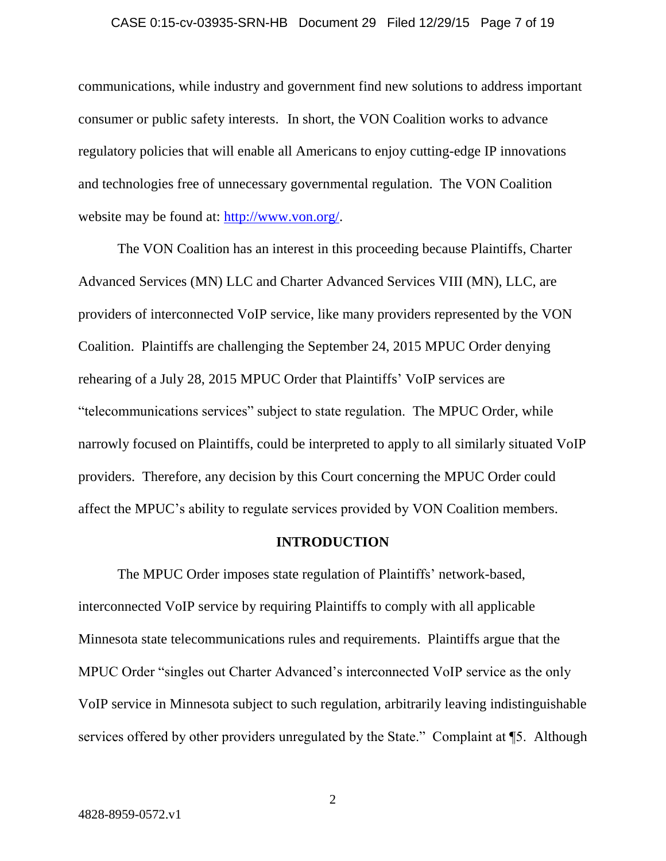#### CASE 0:15-cv-03935-SRN-HB Document 29 Filed 12/29/15 Page 7 of 19

communications, while industry and government find new solutions to address important consumer or public safety interests. In short, the VON Coalition works to advance regulatory policies that will enable all Americans to enjoy cutting-edge IP innovations and technologies free of unnecessary governmental regulation. The VON Coalition website may be found at: [http://www.von.org/.](http://www.von.org/)

The VON Coalition has an interest in this proceeding because Plaintiffs, Charter Advanced Services (MN) LLC and Charter Advanced Services VIII (MN), LLC, are providers of interconnected VoIP service, like many providers represented by the VON Coalition. Plaintiffs are challenging the September 24, 2015 MPUC Order denying rehearing of a July 28, 2015 MPUC Order that Plaintiffs' VoIP services are "telecommunications services" subject to state regulation. The MPUC Order, while narrowly focused on Plaintiffs, could be interpreted to apply to all similarly situated VoIP providers. Therefore, any decision by this Court concerning the MPUC Order could affect the MPUC's ability to regulate services provided by VON Coalition members.

#### **INTRODUCTION**

The MPUC Order imposes state regulation of Plaintiffs' network-based, interconnected VoIP service by requiring Plaintiffs to comply with all applicable Minnesota state telecommunications rules and requirements. Plaintiffs argue that the MPUC Order "singles out Charter Advanced's interconnected VoIP service as the only VoIP service in Minnesota subject to such regulation, arbitrarily leaving indistinguishable services offered by other providers unregulated by the State." Complaint at ¶5. Although

2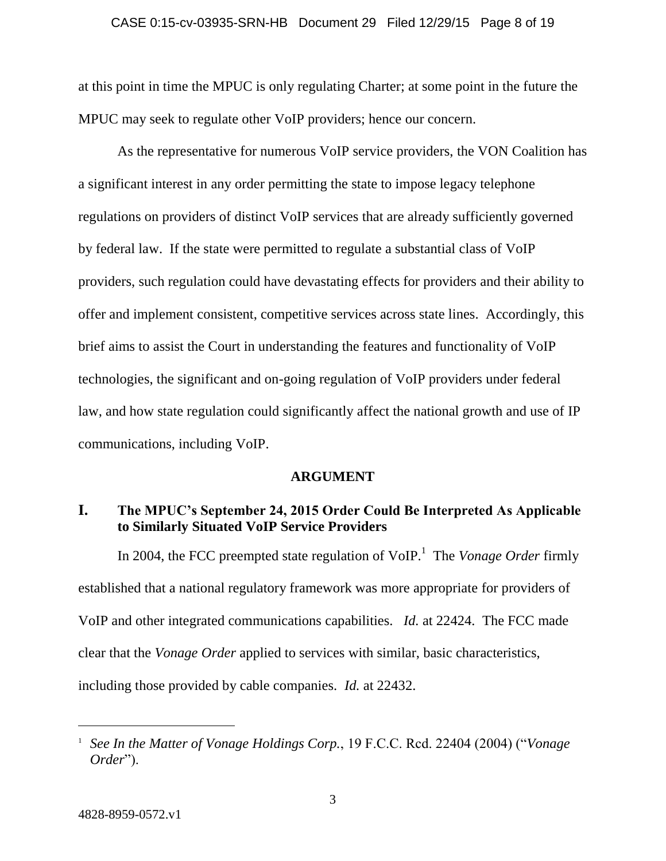#### CASE 0:15-cv-03935-SRN-HB Document 29 Filed 12/29/15 Page 8 of 19

at this point in time the MPUC is only regulating Charter; at some point in the future the MPUC may seek to regulate other VoIP providers; hence our concern.

As the representative for numerous VoIP service providers, the VON Coalition has a significant interest in any order permitting the state to impose legacy telephone regulations on providers of distinct VoIP services that are already sufficiently governed by federal law. If the state were permitted to regulate a substantial class of VoIP providers, such regulation could have devastating effects for providers and their ability to offer and implement consistent, competitive services across state lines. Accordingly, this brief aims to assist the Court in understanding the features and functionality of VoIP technologies, the significant and on-going regulation of VoIP providers under federal law, and how state regulation could significantly affect the national growth and use of IP communications, including VoIP.

#### **ARGUMENT**

## **I. The MPUC's September 24, 2015 Order Could Be Interpreted As Applicable to Similarly Situated VoIP Service Providers**

In 2004, the FCC preempted state regulation of VoIP.<sup>1</sup> The *Vonage Order* firmly established that a national regulatory framework was more appropriate for providers of VoIP and other integrated communications capabilities. *Id.* at 22424. The FCC made clear that the *Vonage Order* applied to services with similar, basic characteristics, including those provided by cable companies. *Id.* at 22432.

<sup>&</sup>lt;sup>1</sup> See In the Matter of Vonage Holdings Corp., 19 F.C.C. Rcd. 22404 (2004) ("Vonage *Order*").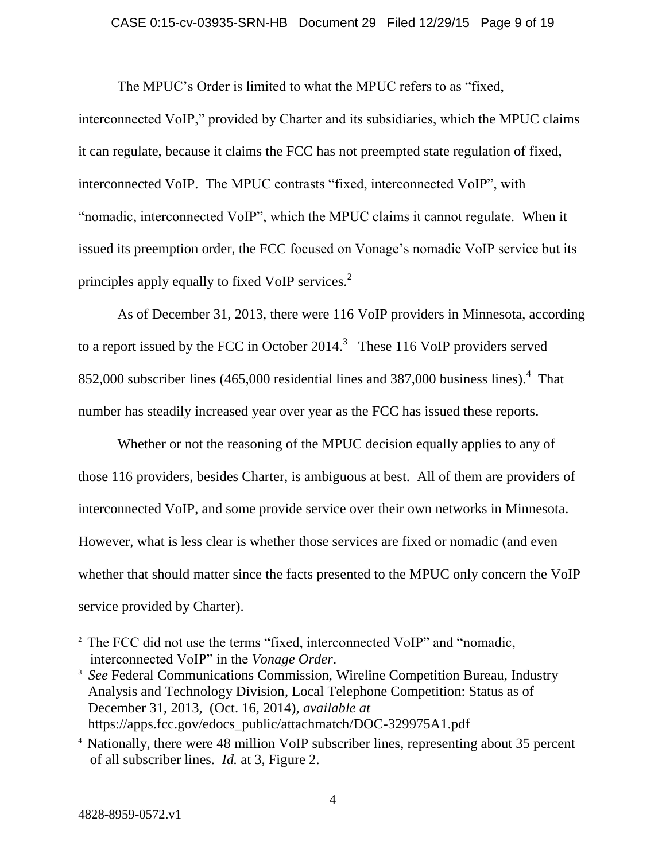#### CASE 0:15-cv-03935-SRN-HB Document 29 Filed 12/29/15 Page 9 of 19

The MPUC's Order is limited to what the MPUC refers to as "fixed,

interconnected VoIP," provided by Charter and its subsidiaries, which the MPUC claims it can regulate, because it claims the FCC has not preempted state regulation of fixed, interconnected VoIP. The MPUC contrasts "fixed, interconnected VoIP", with "nomadic, interconnected VoIP", which the MPUC claims it cannot regulate. When it issued its preemption order, the FCC focused on Vonage's nomadic VoIP service but its principles apply equally to fixed VoIP services.<sup>2</sup>

As of December 31, 2013, there were 116 VoIP providers in Minnesota, according to a report issued by the FCC in October 2014.<sup>3</sup> These 116 VoIP providers served 852,000 subscriber lines (465,000 residential lines and 387,000 business lines). 4 That number has steadily increased year over year as the FCC has issued these reports.

Whether or not the reasoning of the MPUC decision equally applies to any of those 116 providers, besides Charter, is ambiguous at best. All of them are providers of interconnected VoIP, and some provide service over their own networks in Minnesota. However, what is less clear is whether those services are fixed or nomadic (and even whether that should matter since the facts presented to the MPUC only concern the VoIP service provided by Charter).

<sup>&</sup>lt;sup>2</sup> The FCC did not use the terms "fixed, interconnected VoIP" and "nomadic, interconnected VoIP" in the *Vonage Order*.

<sup>&</sup>lt;sup>3</sup> *See* Federal Communications Commission, Wireline Competition Bureau, Industry Analysis and Technology Division, Local Telephone Competition: Status as of December 31, 2013, (Oct. 16, 2014), *available at* https://apps.fcc.gov/edocs\_public/attachmatch/DOC-329975A1.pdf

<sup>4</sup> Nationally, there were 48 million VoIP subscriber lines, representing about 35 percent of all subscriber lines. *Id.* at 3, Figure 2.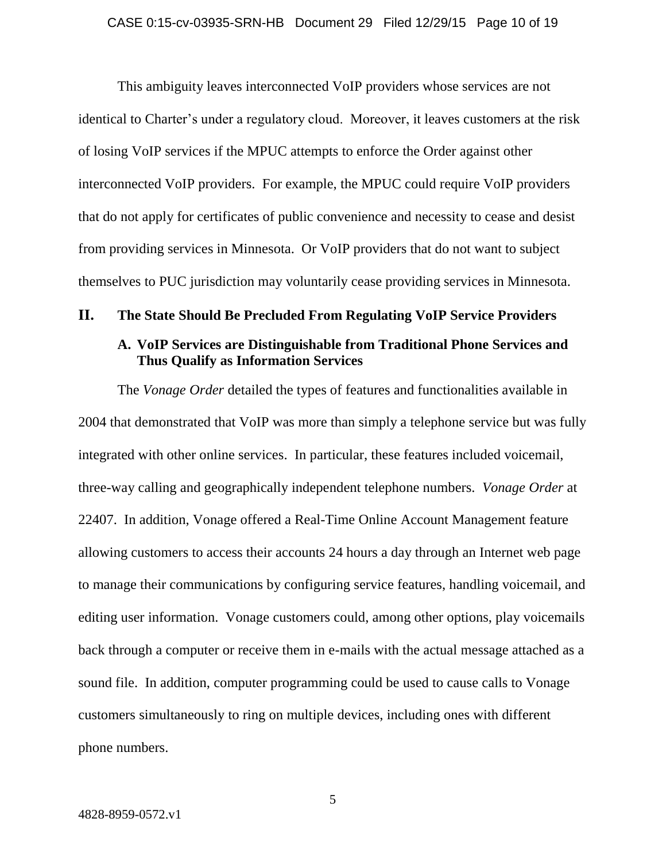This ambiguity leaves interconnected VoIP providers whose services are not identical to Charter's under a regulatory cloud. Moreover, it leaves customers at the risk of losing VoIP services if the MPUC attempts to enforce the Order against other interconnected VoIP providers. For example, the MPUC could require VoIP providers that do not apply for certificates of public convenience and necessity to cease and desist from providing services in Minnesota. Or VoIP providers that do not want to subject themselves to PUC jurisdiction may voluntarily cease providing services in Minnesota.

# **II. The State Should Be Precluded From Regulating VoIP Service Providers A. VoIP Services are Distinguishable from Traditional Phone Services and**

**Thus Qualify as Information Services**

The *Vonage Order* detailed the types of features and functionalities available in 2004 that demonstrated that VoIP was more than simply a telephone service but was fully integrated with other online services. In particular, these features included voicemail, three-way calling and geographically independent telephone numbers. *Vonage Order* at 22407. In addition, Vonage offered a Real-Time Online Account Management feature allowing customers to access their accounts 24 hours a day through an Internet web page to manage their communications by configuring service features, handling voicemail, and editing user information. Vonage customers could, among other options, play voicemails back through a computer or receive them in e-mails with the actual message attached as a sound file. In addition, computer programming could be used to cause calls to Vonage customers simultaneously to ring on multiple devices, including ones with different phone numbers.

5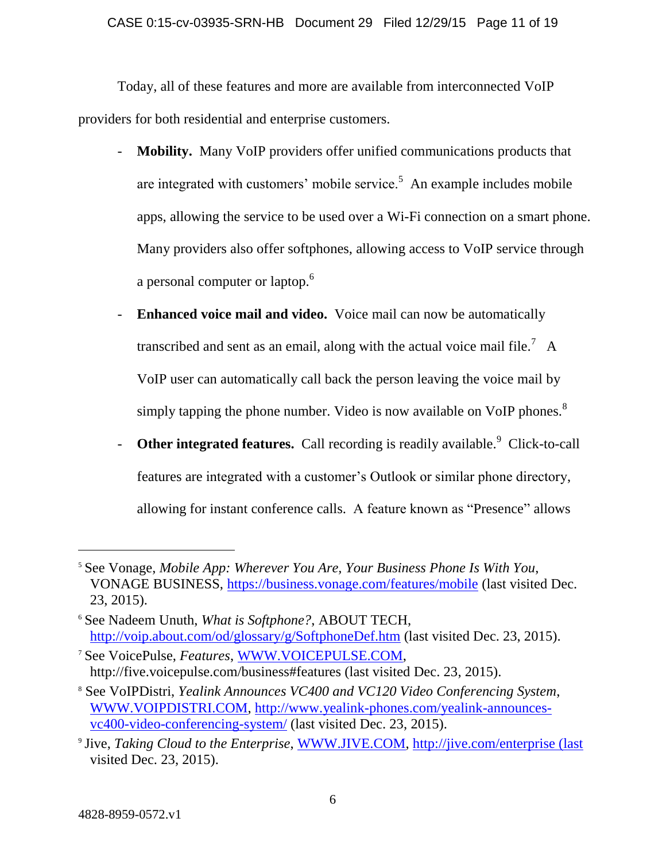#### CASE 0:15-cv-03935-SRN-HB Document 29 Filed 12/29/15 Page 11 of 19

Today, all of these features and more are available from interconnected VoIP providers for both residential and enterprise customers.

- **Mobility.** Many VoIP providers offer unified communications products that are integrated with customers' mobile service.<sup>5</sup> An example includes mobile apps, allowing the service to be used over a Wi-Fi connection on a smart phone. Many providers also offer softphones, allowing access to VoIP service through a personal computer or laptop. $^6$
- **Enhanced voice mail and video.** Voice mail can now be automatically transcribed and sent as an email, along with the actual voice mail file.<sup>7</sup> A VoIP user can automatically call back the person leaving the voice mail by simply tapping the phone number. Video is now available on VoIP phones. $8$
- **Other integrated features.** Call recording is readily available.<sup>9</sup> Click-to-call features are integrated with a customer's Outlook or similar phone directory, allowing for instant conference calls. A feature known as "Presence" allows

<sup>5</sup> See Vonage, *Mobile App: Wherever You Are, Your Business Phone Is With You*, VONAGE BUSINESS,<https://business.vonage.com/features/mobile> (last visited Dec. 23, 2015).

<sup>6</sup> See Nadeem Unuth, *What is Softphone?*, ABOUT TECH, <http://voip.about.com/od/glossary/g/SoftphoneDef.htm> (last visited Dec. 23, 2015).

<sup>7</sup> See VoicePulse, *Features*, [WWW.VOICEPULSE.COM,](http://www.voicepulse.com/) http://five.voicepulse.com/business#features (last visited Dec. 23, 2015).

<sup>8</sup> See VoIPDistri, *Yealink Announces VC400 and VC120 Video Conferencing System*, [WWW.VOIPDISTRI.COM,](http://www.voipdistri.com/) [http://www.yealink-phones.com/yealink-announces](http://www.yealink-phones.com/yealink-announces-vc400-video-conferencing-system/)[vc400-video-conferencing-system/](http://www.yealink-phones.com/yealink-announces-vc400-video-conferencing-system/) (last visited Dec. 23, 2015).

<sup>9</sup> Jive, *Taking Cloud to the Enterprise*, [WWW.JIVE.COM,](http://www.jive.com/) [http://jive.com/enterprise \(last](http://jive.com/enterprise%20(last) visited Dec. 23, 2015).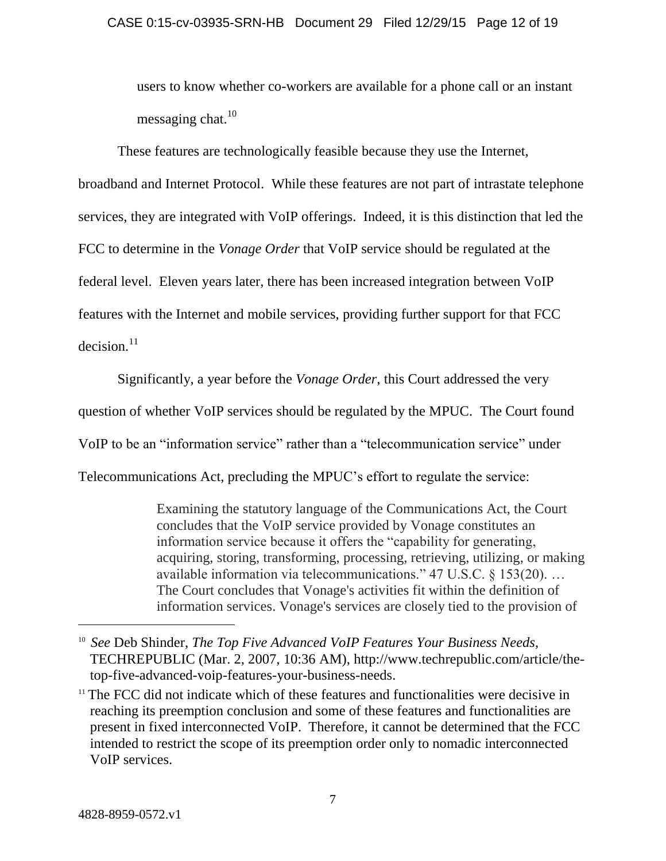users to know whether co-workers are available for a phone call or an instant messaging chat. $10$ 

These features are technologically feasible because they use the Internet, broadband and Internet Protocol. While these features are not part of intrastate telephone services, they are integrated with VoIP offerings. Indeed, it is this distinction that led the FCC to determine in the *Vonage Order* that VoIP service should be regulated at the federal level. Eleven years later, there has been increased integration between VoIP features with the Internet and mobile services, providing further support for that FCC  $decision.<sup>11</sup>$ 

Significantly, a year before the *Vonage Order*, this Court addressed the very question of whether VoIP services should be regulated by the MPUC. The Court found VoIP to be an "information service" rather than a "telecommunication service" under

Telecommunications Act, precluding the MPUC's effort to regulate the service:

Examining the statutory language of the Communications Act, the Court concludes that the VoIP service provided by Vonage constitutes an information service because it offers the "capability for generating, acquiring, storing, transforming, processing, retrieving, utilizing, or making available information via telecommunications." 47 U.S.C. § 153(20). … The Court concludes that Vonage's activities fit within the definition of information services. Vonage's services are closely tied to the provision of

<sup>&</sup>lt;sup>10</sup> See Deb Shinder, *The Top Five Advanced VoIP Features Your Business Needs*, TECHREPUBLIC (Mar. 2, 2007, 10:36 AM), http://www.techrepublic.com/article/thetop-five-advanced-voip-features-your-business-needs.

<sup>&</sup>lt;sup>11</sup> The FCC did not indicate which of these features and functionalities were decisive in reaching its preemption conclusion and some of these features and functionalities are present in fixed interconnected VoIP. Therefore, it cannot be determined that the FCC intended to restrict the scope of its preemption order only to nomadic interconnected VoIP services.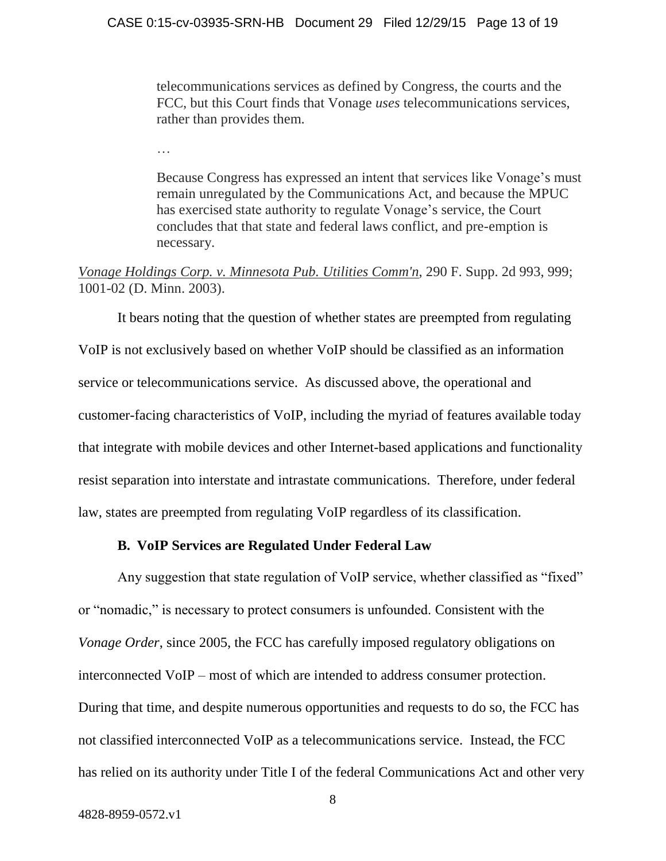telecommunications services as defined by Congress, the courts and the FCC, but this Court finds that Vonage *uses* telecommunications services, rather than provides them.

Because Congress has expressed an intent that services like Vonage's must remain unregulated by the Communications Act, and because the MPUC has exercised state authority to regulate Vonage's service, the Court concludes that that state and federal laws conflict, and pre-emption is necessary.

*Vonage Holdings Corp. v. Minnesota Pub. Utilities Comm'n*, 290 F. Supp. 2d 993, 999; 1001-02 (D. Minn. 2003).

It bears noting that the question of whether states are preempted from regulating VoIP is not exclusively based on whether VoIP should be classified as an information service or telecommunications service. As discussed above, the operational and customer-facing characteristics of VoIP, including the myriad of features available today that integrate with mobile devices and other Internet-based applications and functionality resist separation into interstate and intrastate communications. Therefore, under federal law, states are preempted from regulating VoIP regardless of its classification.

#### **B. VoIP Services are Regulated Under Federal Law**

Any suggestion that state regulation of VoIP service, whether classified as "fixed" or "nomadic," is necessary to protect consumers is unfounded. Consistent with the *Vonage Order*, since 2005, the FCC has carefully imposed regulatory obligations on interconnected VoIP – most of which are intended to address consumer protection. During that time, and despite numerous opportunities and requests to do so, the FCC has not classified interconnected VoIP as a telecommunications service. Instead, the FCC has relied on its authority under Title I of the federal Communications Act and other very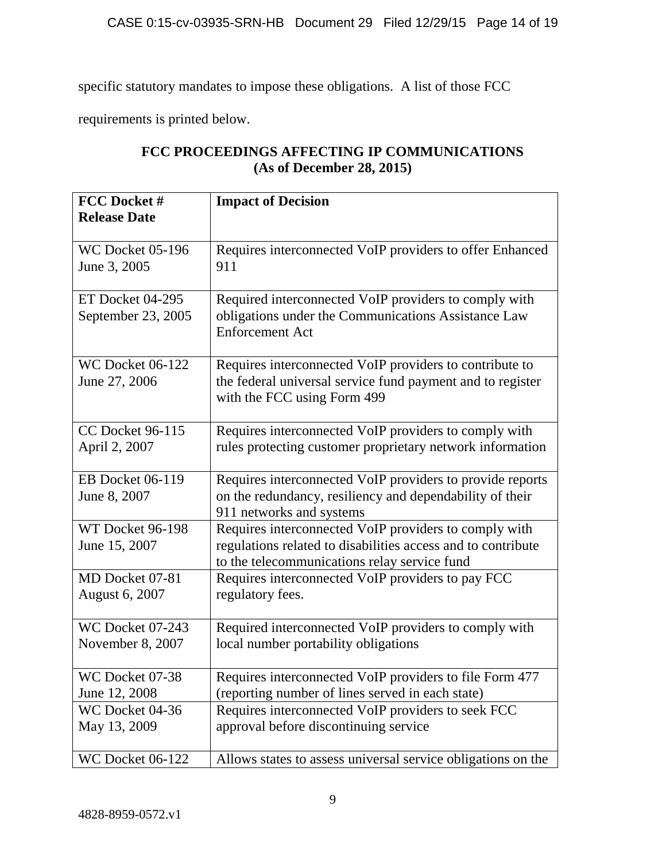specific statutory mandates to impose these obligations. A list of those FCC

requirements is printed below.

| FCC Docket #<br><b>Release Date</b>      | <b>Impact of Decision</b>                                                                                                                                             |
|------------------------------------------|-----------------------------------------------------------------------------------------------------------------------------------------------------------------------|
| WC Docket 05-196                         | Requires interconnected VoIP providers to offer Enhanced                                                                                                              |
| June 3, 2005                             | 911                                                                                                                                                                   |
| ET Docket 04-295<br>September 23, 2005   | Required interconnected VoIP providers to comply with<br>obligations under the Communications Assistance Law<br><b>Enforcement Act</b>                                |
| <b>WC Docket 06-122</b><br>June 27, 2006 | Requires interconnected VoIP providers to contribute to<br>the federal universal service fund payment and to register<br>with the FCC using Form 499                  |
| <b>CC Docket 96-115</b>                  | Requires interconnected VoIP providers to comply with                                                                                                                 |
| April 2, 2007                            | rules protecting customer proprietary network information                                                                                                             |
| EB Docket 06-119<br>June 8, 2007         | Requires interconnected VoIP providers to provide reports<br>on the redundancy, resiliency and dependability of their<br>911 networks and systems                     |
| WT Docket 96-198<br>June 15, 2007        | Requires interconnected VoIP providers to comply with<br>regulations related to disabilities access and to contribute<br>to the telecommunications relay service fund |
| MD Docket 07-81                          | Requires interconnected VoIP providers to pay FCC                                                                                                                     |
| <b>August 6, 2007</b>                    | regulatory fees.                                                                                                                                                      |
| WC Docket 07-243                         | Required interconnected VoIP providers to comply with                                                                                                                 |
| November 8, 2007                         | local number portability obligations                                                                                                                                  |
| WC Docket 07-38                          | Requires interconnected VoIP providers to file Form 477                                                                                                               |
| June 12, 2008                            | (reporting number of lines served in each state)                                                                                                                      |
| WC Docket 04-36                          | Requires interconnected VoIP providers to seek FCC                                                                                                                    |
| May 13, 2009                             | approval before discontinuing service                                                                                                                                 |
| <b>WC Docket 06-122</b>                  | Allows states to assess universal service obligations on the                                                                                                          |

## **FCC PROCEEDINGS AFFECTING IP COMMUNICATIONS (As of December 28, 2015)**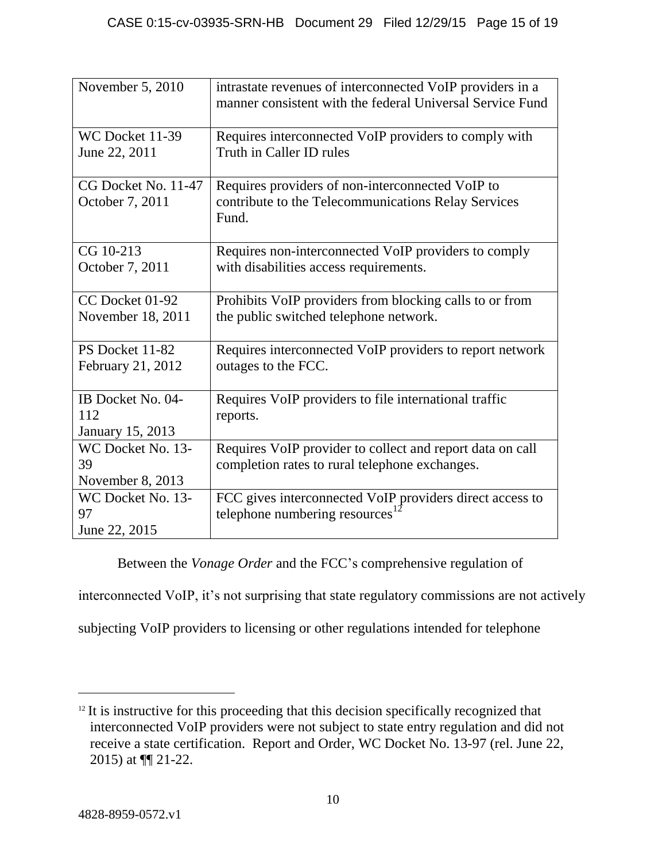| November 5, 2010                             | intrastate revenues of interconnected VoIP providers in a<br>manner consistent with the federal Universal Service Fund |
|----------------------------------------------|------------------------------------------------------------------------------------------------------------------------|
| WC Docket 11-39<br>June 22, 2011             | Requires interconnected VoIP providers to comply with<br>Truth in Caller ID rules                                      |
| CG Docket No. 11-47<br>October 7, 2011       | Requires providers of non-interconnected VoIP to<br>contribute to the Telecommunications Relay Services<br>Fund.       |
| CG 10-213<br>October 7, 2011                 | Requires non-interconnected VoIP providers to comply<br>with disabilities access requirements.                         |
| CC Docket 01-92<br>November 18, 2011         | Prohibits VoIP providers from blocking calls to or from<br>the public switched telephone network.                      |
| PS Docket 11-82<br>February 21, 2012         | Requires interconnected VoIP providers to report network<br>outages to the FCC.                                        |
| IB Docket No. 04-<br>112<br>January 15, 2013 | Requires VoIP providers to file international traffic<br>reports.                                                      |
| WC Docket No. 13-<br>39<br>November 8, 2013  | Requires VoIP provider to collect and report data on call<br>completion rates to rural telephone exchanges.            |
| WC Docket No. 13-<br>97<br>June 22, 2015     | FCC gives interconnected VoIP providers direct access to<br>telephone numbering resources $^{12}$                      |

Between the *Vonage Order* and the FCC's comprehensive regulation of

interconnected VoIP, it's not surprising that state regulatory commissions are not actively

subjecting VoIP providers to licensing or other regulations intended for telephone

 $12$  It is instructive for this proceeding that this decision specifically recognized that interconnected VoIP providers were not subject to state entry regulation and did not receive a state certification. Report and Order, WC Docket No. 13-97 (rel. June 22, 2015) at ¶¶ 21-22.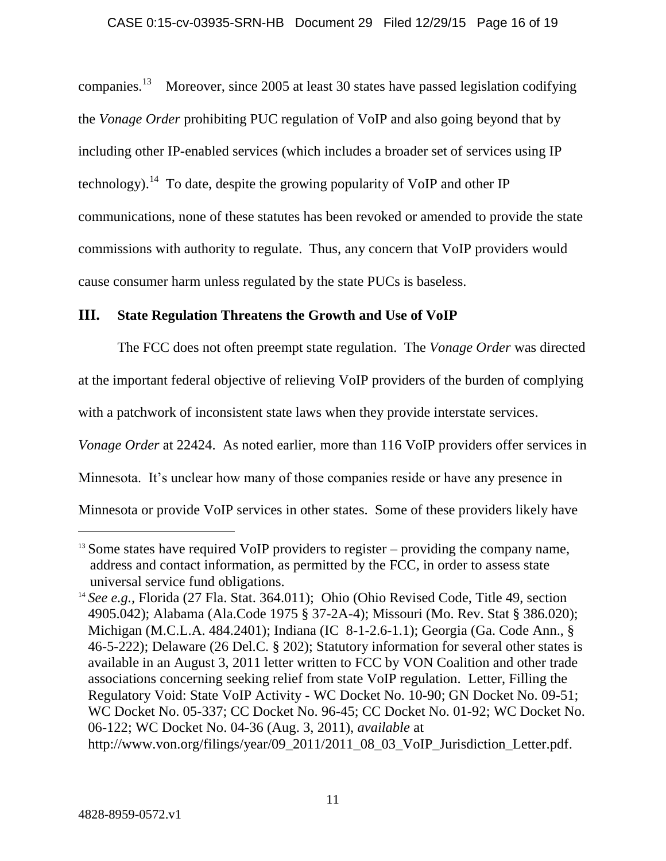companies.<sup>13</sup> Moreover, since 2005 at least 30 states have passed legislation codifying the *Vonage Order* prohibiting PUC regulation of VoIP and also going beyond that by including other IP-enabled services (which includes a broader set of services using IP technology).<sup>14</sup> To date, despite the growing popularity of VoIP and other IP communications, none of these statutes has been revoked or amended to provide the state commissions with authority to regulate. Thus, any concern that VoIP providers would cause consumer harm unless regulated by the state PUCs is baseless.

## **III. State Regulation Threatens the Growth and Use of VoIP**

The FCC does not often preempt state regulation. The *Vonage Order* was directed at the important federal objective of relieving VoIP providers of the burden of complying with a patchwork of inconsistent state laws when they provide interstate services.

*Vonage Order* at 22424. As noted earlier, more than 116 VoIP providers offer services in

Minnesota. It's unclear how many of those companies reside or have any presence in

Minnesota or provide VoIP services in other states. Some of these providers likely have

 $13$  Some states have required VoIP providers to register – providing the company name, address and contact information, as permitted by the FCC, in order to assess state universal service fund obligations.

<sup>14</sup> *See e.g.,* Florida (27 Fla. Stat. 364.011); Ohio (Ohio Revised Code, Title 49, section 4905.042); Alabama (Ala.Code 1975 § 37-2A-4); Missouri (Mo. Rev. Stat § 386.020); Michigan (M.C.L.A. 484.2401); Indiana (IC 8-1-2.6-1.1); Georgia (Ga. Code Ann., § 46-5-222); Delaware (26 Del.C. § 202); Statutory information for several other states is available in an August 3, 2011 letter written to FCC by VON Coalition and other trade associations concerning seeking relief from state VoIP regulation. Letter, Filling the Regulatory Void: State VoIP Activity - WC Docket No. 10-90; GN Docket No. 09-51; WC Docket No. 05-337; CC Docket No. 96-45; CC Docket No. 01-92; WC Docket No. 06-122; WC Docket No. 04-36 (Aug. 3, 2011), *available* at http://www.von.org/filings/year/09\_2011/2011\_08\_03\_VoIP\_Jurisdiction\_Letter.pdf.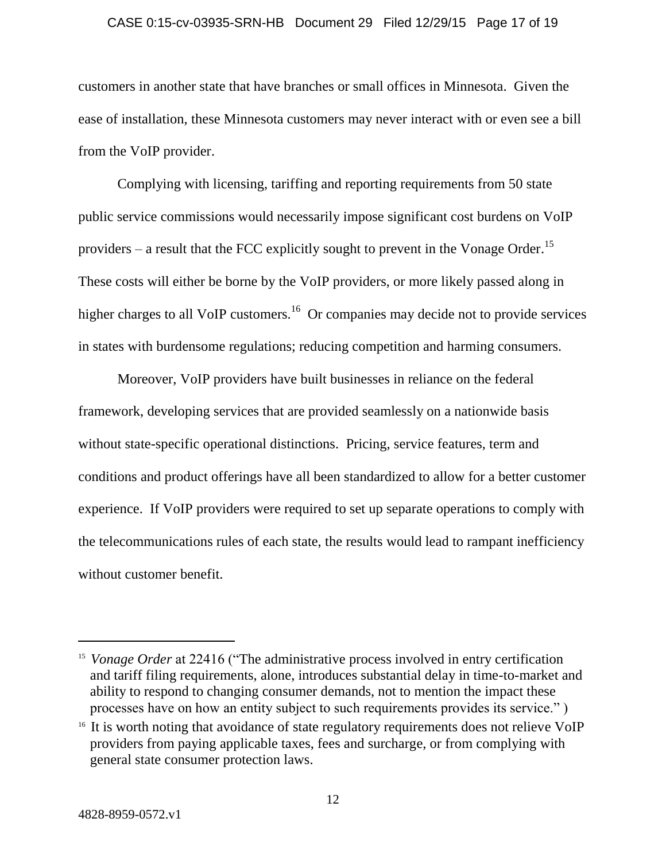#### CASE 0:15-cv-03935-SRN-HB Document 29 Filed 12/29/15 Page 17 of 19

customers in another state that have branches or small offices in Minnesota. Given the ease of installation, these Minnesota customers may never interact with or even see a bill from the VoIP provider.

Complying with licensing, tariffing and reporting requirements from 50 state public service commissions would necessarily impose significant cost burdens on VoIP providers – a result that the FCC explicitly sought to prevent in the Vonage Order.<sup>15</sup> These costs will either be borne by the VoIP providers, or more likely passed along in higher charges to all VoIP customers.<sup>16</sup> Or companies may decide not to provide services in states with burdensome regulations; reducing competition and harming consumers.

Moreover, VoIP providers have built businesses in reliance on the federal framework, developing services that are provided seamlessly on a nationwide basis without state-specific operational distinctions. Pricing, service features, term and conditions and product offerings have all been standardized to allow for a better customer experience. If VoIP providers were required to set up separate operations to comply with the telecommunications rules of each state, the results would lead to rampant inefficiency without customer benefit.

<sup>&</sup>lt;sup>15</sup> Vonage Order at 22416 ("The administrative process involved in entry certification and tariff filing requirements, alone, introduces substantial delay in time-to-market and ability to respond to changing consumer demands, not to mention the impact these processes have on how an entity subject to such requirements provides its service." )

<sup>&</sup>lt;sup>16</sup> It is worth noting that avoidance of state regulatory requirements does not relieve VoIP providers from paying applicable taxes, fees and surcharge, or from complying with general state consumer protection laws.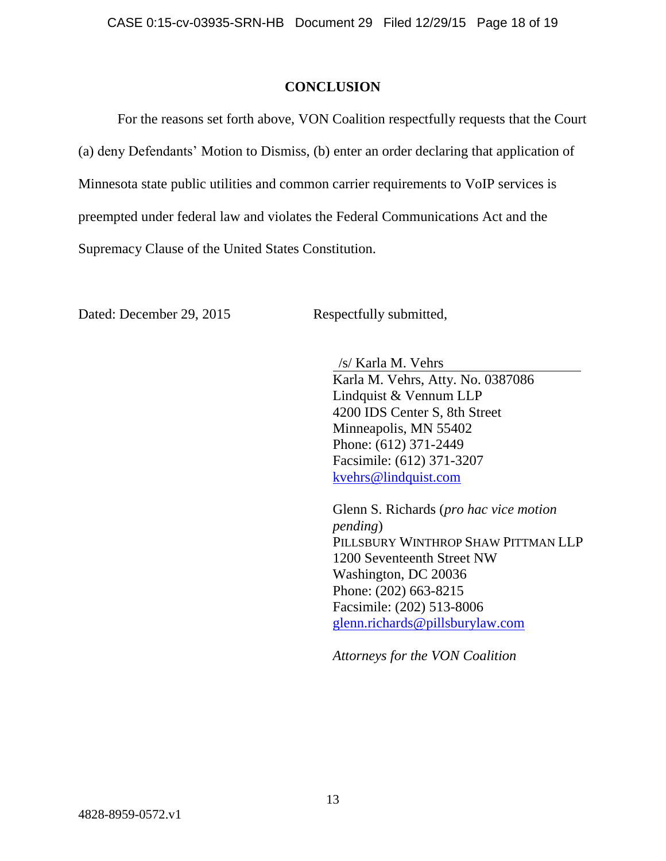#### **CONCLUSION**

For the reasons set forth above, VON Coalition respectfully requests that the Court (a) deny Defendants' Motion to Dismiss, (b) enter an order declaring that application of Minnesota state public utilities and common carrier requirements to VoIP services is preempted under federal law and violates the Federal Communications Act and the Supremacy Clause of the United States Constitution.

Dated: December 29, 2015 Respectfully submitted,

/s/ Karla M. Vehrs

Karla M. Vehrs, Atty. No. 0387086 Lindquist & Vennum LLP 4200 IDS Center S, 8th Street Minneapolis, MN 55402 Phone: (612) 371-2449 Facsimile: (612) 371-3207 [kvehrs@lindquist.com](mailto:kvehrs@lindquist.com)

Glenn S. Richards (*pro hac vice motion pending*) PILLSBURY WINTHROP SHAW PITTMAN LLP 1200 Seventeenth Street NW Washington, DC 20036 Phone: (202) 663-8215 Facsimile: (202) 513-8006 [glenn.richards@pillsburylaw.com](mailto:glenn.richards@pillsburylaw.com)

*Attorneys for the VON Coalition*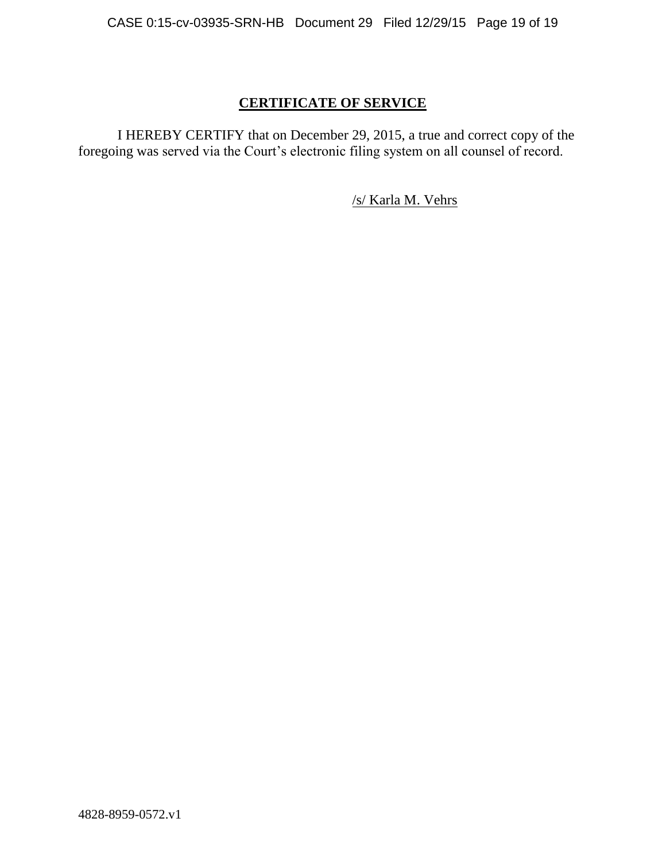## **CERTIFICATE OF SERVICE**

I HEREBY CERTIFY that on December 29, 2015, a true and correct copy of the foregoing was served via the Court's electronic filing system on all counsel of record.

/s/ Karla M. Vehrs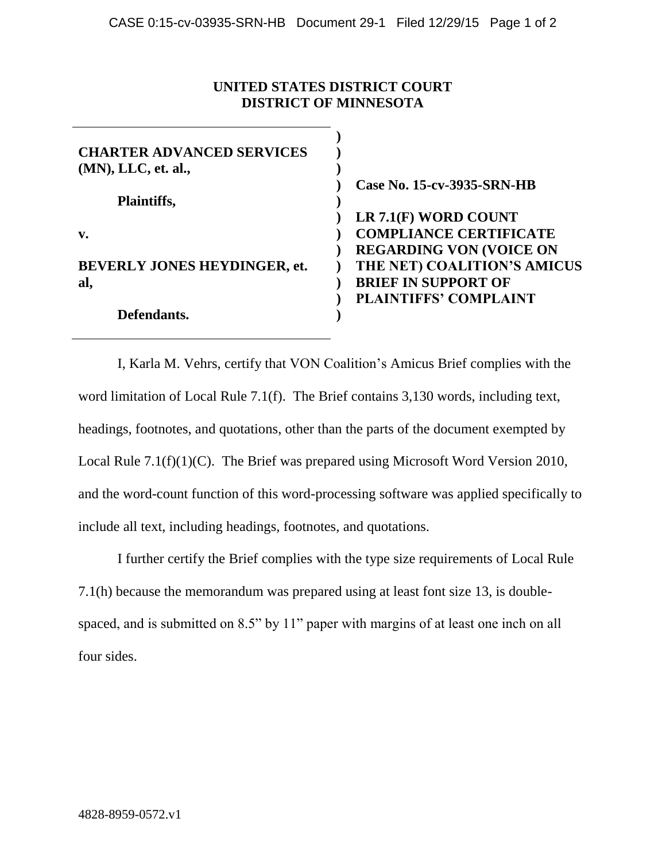## **UNITED STATES DISTRICT COURT DISTRICT OF MINNESOTA**

| <b>CHARTER ADVANCED SERVICES</b>    |                                |
|-------------------------------------|--------------------------------|
| $(MN)$ , LLC, et. al.,              |                                |
|                                     | Case No. 15-cv-3935-SRN-HB     |
| <b>Plaintiffs,</b>                  |                                |
|                                     | LR 7.1(F) WORD COUNT           |
| v.                                  | <b>COMPLIANCE CERTIFICATE</b>  |
|                                     | <b>REGARDING VON (VOICE ON</b> |
| <b>BEVERLY JONES HEYDINGER, et.</b> | THE NET) COALITION'S AMICUS    |
| al,                                 | <b>BRIEF IN SUPPORT OF</b>     |
|                                     | <b>PLAINTIFFS' COMPLAINT</b>   |
| Defendants.                         |                                |

I, Karla M. Vehrs, certify that VON Coalition's Amicus Brief complies with the word limitation of Local Rule 7.1(f). The Brief contains 3,130 words, including text, headings, footnotes, and quotations, other than the parts of the document exempted by Local Rule 7.1(f)(1)(C). The Brief was prepared using Microsoft Word Version 2010, and the word-count function of this word-processing software was applied specifically to include all text, including headings, footnotes, and quotations.

I further certify the Brief complies with the type size requirements of Local Rule 7.1(h) because the memorandum was prepared using at least font size 13, is doublespaced, and is submitted on 8.5" by 11" paper with margins of at least one inch on all four sides.